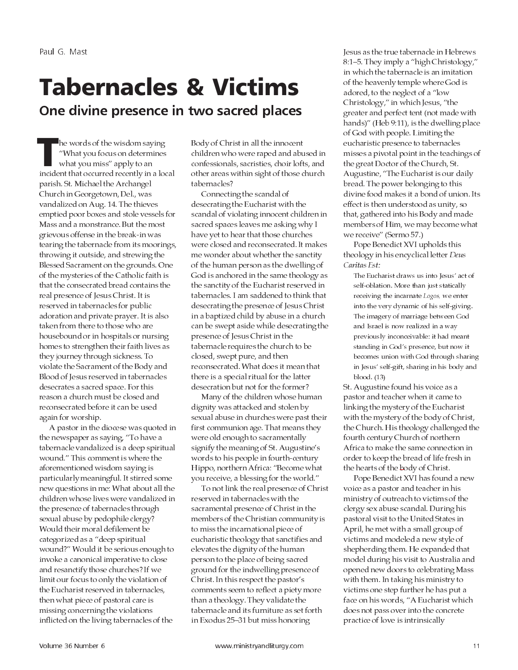# **Tabernacles & Victims** One divine presence in two sacred places

he words of the wisdom saying "What you focus on determines what you miss" apply to an incident that occurred recently in a local parish. St. Michael the Archangel Church in Georgetown, Del., was vandalized on Aug. 14. The thieves emptied poor boxes and stole vessels for Mass and a monstrance. But the most grievous offense in the break-in was tearing the tabernacle from its moorings, throwing it outside, and strewing the Blessed Sacrament on the grounds. One of the mysteries of the Catholic faith is that the consecrated bread contains the real presence of Jesus Christ. It is reserved in tabernacles for public adoration and private prayer. It is also taken from there to those who are housebound or in hospitals or nursing homes to strengthen their faith lives as they journey through sickness. To violate the Sacrament of the Body and Blood of Jesus reserved in tabernacles desecrates a sacred space. For this reason a church must be closed and reconsecrated before it can be used again for worship.

A pastor in the diocese was quoted in the newspaper as saying, "To have a tabernacle vandalized is a deep spiritual wound." This comment is where the aforementioned wisdom saying is particularly meaningful. It stirred some new questions in me: What about all the children whose lives were vandalized in the presence of tabernacles through sexual abuse by pedophile clergy? Would their moral defilement be categorized as a "deep spiritual wound?" Would it be serious enough to invoke a canonical imperative to close and resanctify those churches? If we limit our focus to only the violation of the Eucharist reserved in tabernacles, then what piece of pastoral care is missing concerning the violations inflicted on the living tabernacles of the

Body of Christ in all the innocent children who were raped and abused in confessionals, sacristies, choir lofts, and other areas within sight of those church tabernacles?

Connecting the scandal of desecrating the Eucharist with the scandal of violating innocent children in sacred spaces leaves me asking why I have yet to hear that those churches were closed and reconsecrated. It makes me wonder about whether the sanctity of the human person as the dwelling of God is anchored in the same theology as the sanctity of the Eucharist reserved in tabernacles. I am saddened to think that desecrating the presence of Jesus Christ in a baptized child by abuse in a church can be swept aside while desecrating the presence of Jesus Christ in the tabernacle requires the church to be closed, swept pure, and then reconsecrated. What does it mean that there is a special ritual for the latter desecration but not for the former?

Many of the children whose human dignity was attacked and stolen by sexual abuse in churches were past their first communion age. That means they were old enough to sacramentally signify the meaning of St. Augustine's words to his people in fourth-century Hippo, northern Africa: "Become what you receive, a blessing for the world."

To not link the real presence of Christ reserved in tabernacles with the sacramental presence of Christ in the members of the Christian community is to miss the incarnational piece of eucharistic theology that sanctifies and elevates the dignity of the human person to the place of being sacred ground for the indwelling presence of Christ. In this respect the pastor's comments seem to reflect a piety more than a theology. They validate the tabernacle and its furniture as set forth in Exodus 25-31 but miss honoring

Jesus as the true tabernacle in Hebrews 8:1-5. They imply a "high Christology," in which the tabernacle is an imitation of the heavenly temple where God is adored, to the neglect of a "low Christology," in which Jesus, "the greater and perfect tent (not made with hands)" (Heb 9:11), is the dwelling place of God with people. Limiting the eucharistic presence to tabernacles misses a pivotal point in the teachings of the great Doctor of the Church, St. Augustine, "The Eucharist is our daily bread. The power belonging to this divine food makes it a bond of union. Its effect is then understood as unity, so that, gathered into his Body and made members of Him, we may become what we receive" (Sermo 57.)

Pope Benedict XVI upholds this theology in his encyclical letter Deus Caritas Est:

The Eucharist draws us into Jesus' act of self-oblation. More than just statically receiving the incarnate Logos, we enter into the very dynamic of his self-giving. The imagery of marriage between God and Israel is now realized in a way previously inconceivable: it had meant standing in God's presence, but now it becomes union with God through sharing in Jesus' self-gift, sharing in his body and blood. (13)

St. Augustine found his voice as a pastor and teacher when it came to linking the mystery of the Eucharist with the mystery of the body of Christ, the Church. His theology challenged the fourth century Church of northern Africa to make the same connection in order to keep the bread of life fresh in the hearts of the body of Christ.

Pope Benedict XVI has found a new voice as a pastor and teacher in his ministry of outreach to victims of the clergy sex abuse scandal. During his pastoral visit to the United States in April, he met with a small group of victims and modeled a new style of shepherding them. He expanded that model during his visit to Australia and opened new doors to celebrating Mass with them. In taking his ministry to victims one step further he has put a face on his words, "A Eucharist which does not pass over into the concrete practice of love is intrinsically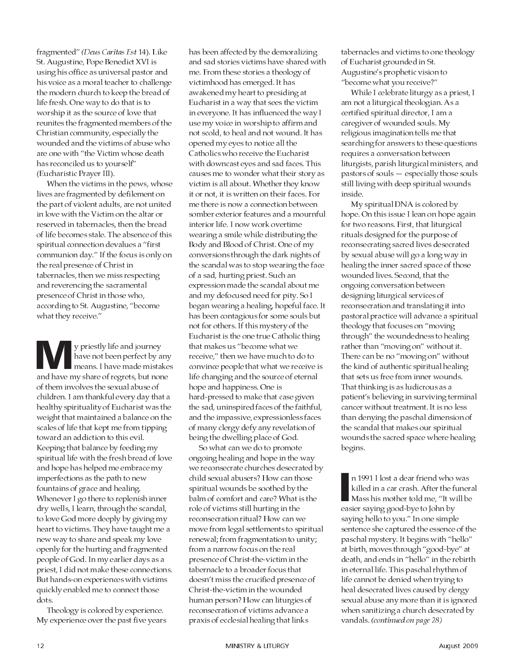fragmented" (Deus Caritas Est 14). Like St. Augustine, Pope Benedict XVI is using his office as universal pastor and his voice as a moral teacher to challenge the modern church to keep the bread of life fresh. One way to do that is to worship it as the source of love that reunites the fragmented members of the Christian community, especially the wounded and the victims of abuse who are one with "the Victim whose death has reconciled us to yourself" (Eucharistic Prayer III).

When the victims in the pews, whose lives are fragmented by defilement on the part of violent adults, are not united in love with the Victim on the altar or reserved in tabernacles, then the bread of life becomes stale. The absence of this spiritual connection devalues a "first communion day." If the focus is only on the real presence of Christ in tabernacles, then we miss respecting and reverencing the sacramental presence of Christ in those who, according to St. Augustine, "become what they receive."

y priestly life and journey have not been perfect by any means. I have made mistakes and have my share of regrets, but none of them involves the sexual abuse of children. I am thankful every day that a healthy spirituality of Eucharist was the weight that maintained a balance on the scales of life that kept me from tipping toward an addiction to this evil. Keeping that balance by feeding my spiritual life with the fresh bread of love and hope has helped me embrace my imperfections as the path to new fountains of grace and healing. Whenever I go there to replenish inner dry wells, I learn, through the scandal, to love God more deeply by giving my heart to victims. They have taught me a new way to share and speak my love openly for the hurting and fragmented people of God. In my earlier days as a priest, I did not make these connections. But hands-on experiences with victims quickly enabled me to connect those dots.

Theology is colored by experience. My experience over the past five years has been affected by the demoralizing and sad stories victims have shared with me. From these stories a theology of victimhood has emerged. It has awakened my heart to presiding at Eucharist in a way that sees the victim in everyone. It has influenced the way I use my voice in worship to affirm and not scold, to heal and not wound. It has opened my eyes to notice all the Catholics who receive the Eucharist with downcast eyes and sad faces. This causes me to wonder what their story as victim is all about. Whether they know it or not, it is written on their faces. For me there is now a connection between somber exterior features and a mournful interior life. I now work overtime wearing a smile while distributing the Body and Blood of Christ. One of my conversions through the dark nights of the scandal was to stop wearing the face of a sad, hurting priest. Such an expression made the scandal about me and my defocused need for pity. So I began wearing a healing, hopeful face. It has been contagious for some souls but not for others. If this mystery of the Eucharist is the one true Catholic thing that makes us "become what we receive," then we have much to do to convince people that what we receive is life changing and the source of eternal hope and happiness. One is hard-pressed to make that case given the sad, uninspired faces of the faithful, and the impassive, expressionless faces of many clergy defy any revelation of being the dwelling place of God.

So what can we do to promote ongoing healing and hope in the way we reconsecrate churches desecrated by child sexual abusers? How can those spiritual wounds be soothed by the balm of comfort and care? What is the role of victims still hurting in the reconsecration ritual? How can we move from legal settlements to spiritual renewal; from fragmentation to unity; from a narrow focus on the real presence of Christ-the-victim in the tabernacle to a broader focus that doesn't miss the crucified presence of Christ-the-victim in the wounded human person? How can liturgies of reconsecration of victims advance a praxis of ecclesial healing that links

tabernacles and victims to one theology of Eucharist grounded in St. Augustine's prophetic vision to "become what you receive?"

While I celebrate liturgy as a priest, I am not a liturgical theologian. As a certified spiritual director, I am a caregiver of wounded souls. My religious imagination tells me that searching for answers to these questions requires a conversation between liturgists, parish liturgical ministers, and pastors of souls - especially those souls still living with deep spiritual wounds inside.

My spiritual DNA is colored by hope. On this issue I lean on hope again for two reasons. First, that liturgical rituals designed for the purpose of reconsecrating sacred lives desecrated by sexual abuse will go a long way in healing the inner sacred space of those wounded lives. Second, that the ongoing conversation between designing liturgical services of reconsecration and translating it into pastoral practice will advance a spiritual theology that focuses on "moving through" the woundedness to healing rather than "moving on" without it. There can be no "moving on" without the kind of authentic spiritual healing that sets us free from inner wounds. That thinking is as ludicrous as a patient's believing in surviving terminal cancer without treatment. It is no less than denying the paschal dimension of the scandal that makes our spiritual wounds the sacred space where healing begins.

n 1991 I lost a dear friend who was killed in a car crash. After the funeral Mass his mother told me, "It will be easier saying good-bye to John by saying hello to you." In one simple sentence she captured the essence of the paschal mystery. It begins with "hello" at birth, moves through "good-bye" at death, and ends in "hello" in the rebirth in eternal life. This paschal rhythm of life cannot be denied when trying to heal desecrated lives caused by clergy sexual abuse any more than it is ignored when sanitizing a church desecrated by vandals. (continued on page 28)